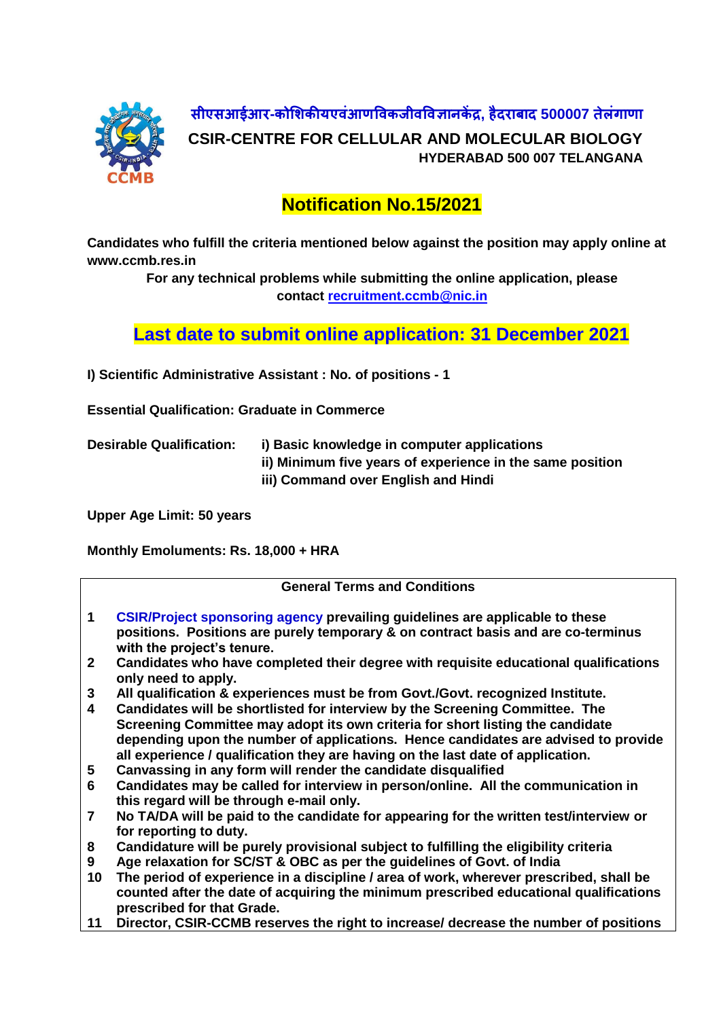

**सीएसआईआर-कोशिकीयएवंआणववकजीवववज्ञानकें द्र, हैदराबाद 500007 तेलंगाणा CSIR-CENTRE FOR CELLULAR AND MOLECULAR BIOLOGY HYDERABAD 500 007 TELANGANA**

## **Notification No.15/2021**

**Candidates who fulfill the criteria mentioned below against the position may apply online at www.ccmb.res.in**

> **For any technical problems while submitting the online application, please contact [recruitment.ccmb@nic.in](mailto:recruitment.ccmb@nic.in)**

**Last date to submit online application: 31 December 2021**

**I) Scientific Administrative Assistant : No. of positions - 1**

**Essential Qualification: Graduate in Commerce**

**Desirable Qualification: i) Basic knowledge in computer applications ii) Minimum five years of experience in the same position iii) Command over English and Hindi**

**Upper Age Limit: 50 years**

**Monthly Emoluments: Rs. 18,000 + HRA**

| <b>General Terms and Conditions</b> |                                                                                                                                                                                                                                                                                                                                         |
|-------------------------------------|-----------------------------------------------------------------------------------------------------------------------------------------------------------------------------------------------------------------------------------------------------------------------------------------------------------------------------------------|
| $\mathbf{1}$                        | <b>CSIR/Project sponsoring agency prevailing guidelines are applicable to these</b><br>positions. Positions are purely temporary & on contract basis and are co-terminus<br>with the project's tenure.                                                                                                                                  |
| 2 <sup>1</sup>                      | Candidates who have completed their degree with requisite educational qualifications<br>only need to apply.                                                                                                                                                                                                                             |
| 3                                   | All qualification & experiences must be from Govt./Govt. recognized Institute.                                                                                                                                                                                                                                                          |
| 4                                   | Candidates will be shortlisted for interview by the Screening Committee. The<br>Screening Committee may adopt its own criteria for short listing the candidate<br>depending upon the number of applications. Hence candidates are advised to provide<br>all experience / qualification they are having on the last date of application. |
| 5                                   | Canvassing in any form will render the candidate disqualified                                                                                                                                                                                                                                                                           |
| 6                                   | Candidates may be called for interview in person/online. All the communication in<br>this regard will be through e-mail only.                                                                                                                                                                                                           |
| $\overline{7}$                      | No TA/DA will be paid to the candidate for appearing for the written test/interview or<br>for reporting to duty.                                                                                                                                                                                                                        |
| 8                                   | Candidature will be purely provisional subject to fulfilling the eligibility criteria                                                                                                                                                                                                                                                   |
| 9                                   | Age relaxation for SC/ST & OBC as per the guidelines of Govt. of India                                                                                                                                                                                                                                                                  |
| 10                                  | The period of experience in a discipline / area of work, wherever prescribed, shall be<br>counted after the date of acquiring the minimum prescribed educational qualifications<br>prescribed for that Grade.                                                                                                                           |
| 11                                  | Director, CSIR-CCMB reserves the right to increase/ decrease the number of positions                                                                                                                                                                                                                                                    |